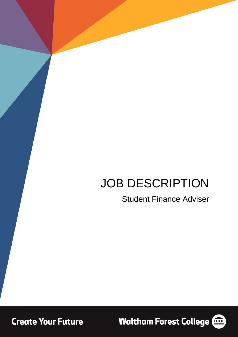# JOB DESCRIPTION

## Student Finance Adviser

**Create Your Future** 

**Waltham Forest College (100)** 

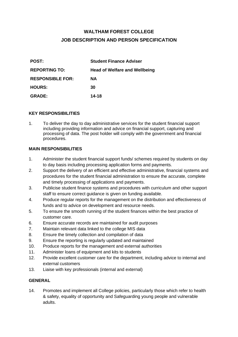### **WALTHAM FOREST COLLEGE JOB DESCRIPTION AND PERSON SPECIFICATION**

| <b>POST:</b>            | <b>Student Finance Adviser</b>       |  |
|-------------------------|--------------------------------------|--|
| <b>REPORTING TO:</b>    | <b>Head of Welfare and Wellbeing</b> |  |
| <b>RESPONSIBLE FOR:</b> | <b>NA</b>                            |  |
| <b>HOURS:</b>           | 30                                   |  |
| <b>GRADE:</b>           | 14-18                                |  |

#### **KEY RESPONSIBILITIES**

1. To deliver the day to day administrative services for the student financial support including providing information and advice on financial support, capturing and processing of data. The post holder will comply with the government and financial procedures.

#### **MAIN RESPONSIBILITIES**

- 1. Administer the student financial support funds/ schemes required by students on day to day basis including processing application forms and payments.
- 2. Support the delivery of an efficient and effective administrative, financial systems and procedures for the student financial administration to ensure the accurate, complete and timely processing of applications and payments.
- 3. Publicise student finance systems and procedures with curriculum and other support staff to ensure correct guidance is given on funding available.
- 4. Produce regular reports for the management on the distribution and effectiveness of funds and to advice on development and resource needs.
- 5. To ensure the smooth running of the student finances within the best practice of customer care.
- 6. Ensure accurate records are maintained for audit purposes
- 7. Maintain relevant data linked to the college MIS data
- 8. Ensure the timely collection and compilation of data
- 9. Ensure the reporting is regularly updated and maintained
- 10. Produce reports for the management and external authorities
- 11. Administer loans of equipment and kits to students
- 12. Provide excellent customer care for the department, including advice to internal and external customers
- 13. Liaise with key professionals (internal and external)

#### **GENERAL**

14. Promotes and implement all College policies, particularly those which refer to health & safety, equality of opportunity and Safeguarding young people and vulnerable adults.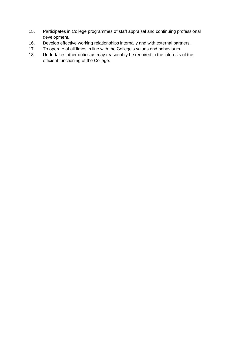- 15. Participates in College programmes of staff appraisal and continuing professional development.
- 16. Develop effective working relationships internally and with external partners.
- 17. To operate at all times in line with the College's values and behaviours.
- 18. Undertakes other duties as may reasonably be required in the interests of the efficient functioning of the College.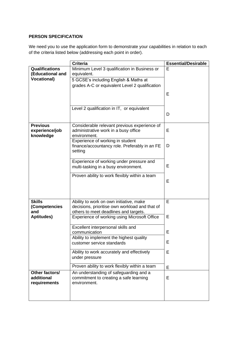#### **PERSON SPECIFICATION**

We need you to use the application form to demonstrate your capabilities in relation to each of the criteria listed below (addressing each point in order).

|                                                                 | <b>Criteria</b>                                                                                                                                        | <b>Essential/Desirable</b> |
|-----------------------------------------------------------------|--------------------------------------------------------------------------------------------------------------------------------------------------------|----------------------------|
| <b>Qualifications</b><br>(Educational and<br><b>Vocational)</b> | Minimum Level 3 qualification in Business or<br>equivalent.<br>5 GCSE's including English & Maths at<br>grades A-C or equivalent Level 2 qualification | E                          |
|                                                                 |                                                                                                                                                        | Е                          |
|                                                                 | Level 2 qualification in IT, or equivalent                                                                                                             | D                          |
| <b>Previous</b><br>experience/job<br>knowledge                  | Considerable relevant previous experience of<br>administrative work in a busy office<br>environment.                                                   | Е                          |
|                                                                 | Experience of working in student<br>finance/accountancy role. Preferably in an FE<br>setting                                                           | D                          |
|                                                                 | Experience of working under pressure and<br>multi-tasking in a busy environment.                                                                       | Е                          |
|                                                                 | Proven ability to work flexibly within a team                                                                                                          | Е                          |
| <b>Skills</b><br>(Competencies<br>and                           | Ability to work on own initiative, make<br>decisions, prioritise own workload and that of<br>others to meet deadlines and targets.                     | E                          |
| Aptitudes)                                                      | Experience of working using Microsoft Office                                                                                                           | Е                          |
|                                                                 | Excellent interpersonal skills and<br>communication<br>Ability to implement the highest quality                                                        | E                          |
|                                                                 | customer service standards                                                                                                                             | Е                          |
|                                                                 | Ability to work accurately and effectively<br>under pressure                                                                                           | E                          |
|                                                                 | Proven ability to work flexibly within a team                                                                                                          | Е                          |
| Other factors/<br>additional<br>requirements                    | An understanding of safeguarding and a<br>commitment to creating a safe learning<br>environment.                                                       | E                          |